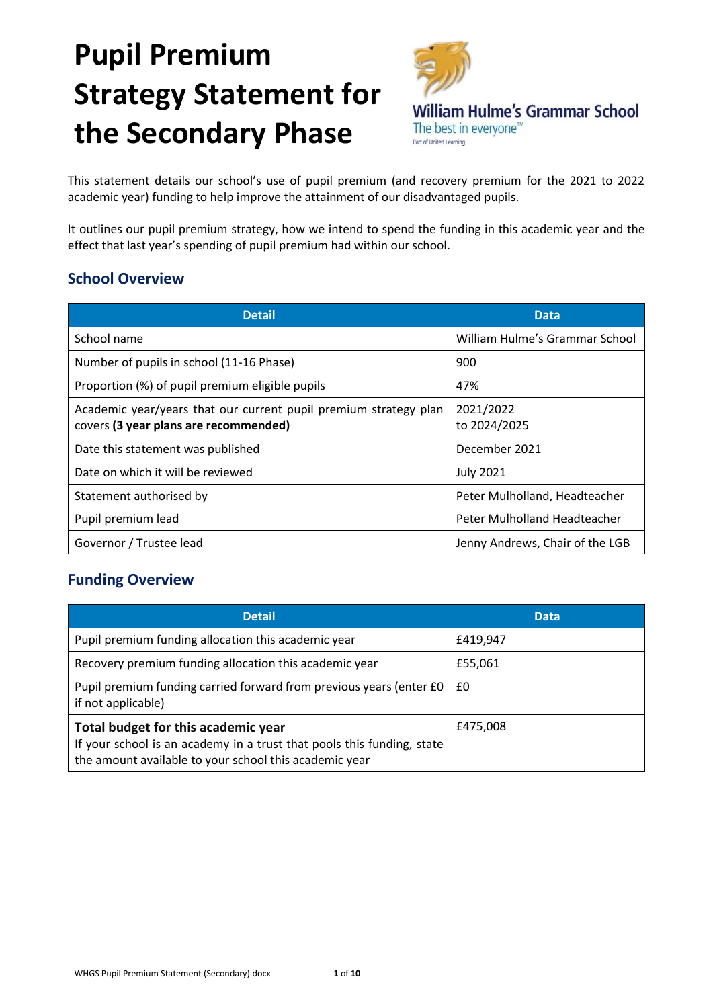# **Pupil Premium Strategy Statement for the Secondary Phase**



This statement details our school's use of pupil premium (and recovery premium for the 2021 to 2022 academic year) funding to help improve the attainment of our disadvantaged pupils.

It outlines our pupil premium strategy, how we intend to spend the funding in this academic year and the effect that last year's spending of pupil premium had within our school.

### **School Overview**

| <b>Detail</b>                                                                                             | <b>Data</b>                     |
|-----------------------------------------------------------------------------------------------------------|---------------------------------|
| School name                                                                                               | William Hulme's Grammar School  |
| Number of pupils in school (11-16 Phase)                                                                  | 900                             |
| Proportion (%) of pupil premium eligible pupils                                                           | 47%                             |
| Academic year/years that our current pupil premium strategy plan<br>covers (3 year plans are recommended) | 2021/2022<br>to 2024/2025       |
| Date this statement was published                                                                         | December 2021                   |
| Date on which it will be reviewed                                                                         | <b>July 2021</b>                |
| Statement authorised by                                                                                   | Peter Mulholland, Headteacher   |
| Pupil premium lead                                                                                        | Peter Mulholland Headteacher    |
| Governor / Trustee lead                                                                                   | Jenny Andrews, Chair of the LGB |

## **Funding Overview**

| <b>Detail</b>                                                                                                                                                           | <b>Data</b> |  |
|-------------------------------------------------------------------------------------------------------------------------------------------------------------------------|-------------|--|
| Pupil premium funding allocation this academic year                                                                                                                     | £419,947    |  |
| Recovery premium funding allocation this academic year                                                                                                                  | £55,061     |  |
| Pupil premium funding carried forward from previous years (enter £0<br>if not applicable)                                                                               | £0          |  |
| Total budget for this academic year<br>If your school is an academy in a trust that pools this funding, state<br>the amount available to your school this academic year | £475,008    |  |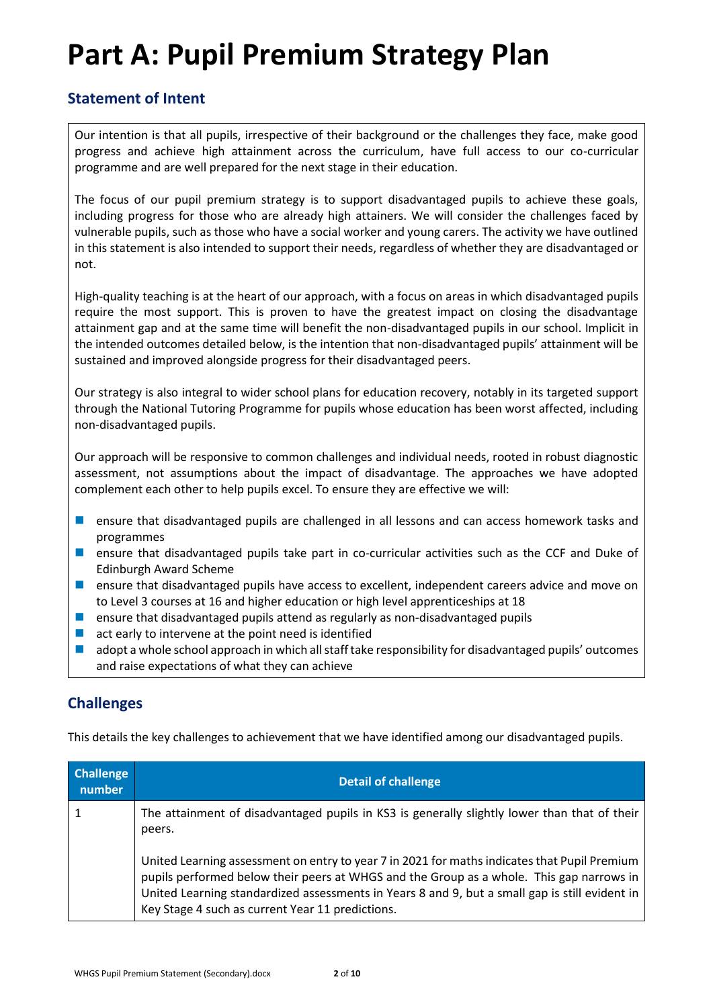## **Part A: Pupil Premium Strategy Plan**

### **Statement of Intent**

Our intention is that all pupils, irrespective of their background or the challenges they face, make good progress and achieve high attainment across the curriculum, have full access to our co-curricular programme and are well prepared for the next stage in their education.

The focus of our pupil premium strategy is to support disadvantaged pupils to achieve these goals, including progress for those who are already high attainers. We will consider the challenges faced by vulnerable pupils, such as those who have a social worker and young carers. The activity we have outlined in this statement is also intended to support their needs, regardless of whether they are disadvantaged or not.

High-quality teaching is at the heart of our approach, with a focus on areas in which disadvantaged pupils require the most support. This is proven to have the greatest impact on closing the disadvantage attainment gap and at the same time will benefit the non-disadvantaged pupils in our school. Implicit in the intended outcomes detailed below, is the intention that non-disadvantaged pupils' attainment will be sustained and improved alongside progress for their disadvantaged peers.

Our strategy is also integral to wider school plans for education recovery, notably in its targeted support through the National Tutoring Programme for pupils whose education has been worst affected, including non-disadvantaged pupils.

Our approach will be responsive to common challenges and individual needs, rooted in robust diagnostic assessment, not assumptions about the impact of disadvantage. The approaches we have adopted complement each other to help pupils excel. To ensure they are effective we will:

- ensure that disadvantaged pupils are challenged in all lessons and can access homework tasks and programmes
- ensure that disadvantaged pupils take part in co-curricular activities such as the CCF and Duke of Edinburgh Award Scheme
- ensure that disadvantaged pupils have access to excellent, independent careers advice and move on to Level 3 courses at 16 and higher education or high level apprenticeships at 18
- ensure that disadvantaged pupils attend as regularly as non-disadvantaged pupils
- $\blacksquare$  act early to intervene at the point need is identified
- adopt a whole school approach in which all staff take responsibility for disadvantaged pupils' outcomes and raise expectations of what they can achieve

## **Challenges**

This details the key challenges to achievement that we have identified among our disadvantaged pupils.

| <b>Challenge</b><br>$\mathsf{number}^{\mathsf{T}}$ | <b>Detail of challenge</b>                                                                                                                                                                                                                                                                                                                     |
|----------------------------------------------------|------------------------------------------------------------------------------------------------------------------------------------------------------------------------------------------------------------------------------------------------------------------------------------------------------------------------------------------------|
|                                                    | The attainment of disadvantaged pupils in KS3 is generally slightly lower than that of their<br>peers.                                                                                                                                                                                                                                         |
|                                                    | United Learning assessment on entry to year 7 in 2021 for maths indicates that Pupil Premium<br>pupils performed below their peers at WHGS and the Group as a whole. This gap narrows in<br>United Learning standardized assessments in Years 8 and 9, but a small gap is still evident in<br>Key Stage 4 such as current Year 11 predictions. |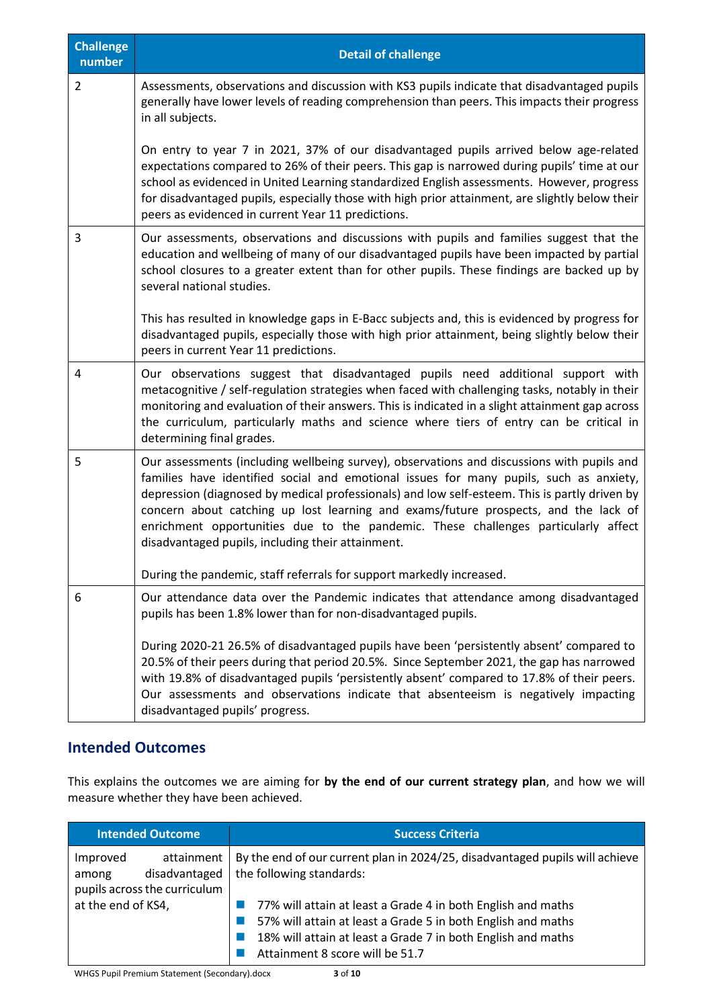| <b>Challenge</b><br>number | <b>Detail of challenge</b>                                                                                                                                                                                                                                                                                                                                                                                                                                                                                              |
|----------------------------|-------------------------------------------------------------------------------------------------------------------------------------------------------------------------------------------------------------------------------------------------------------------------------------------------------------------------------------------------------------------------------------------------------------------------------------------------------------------------------------------------------------------------|
| $\overline{2}$             | Assessments, observations and discussion with KS3 pupils indicate that disadvantaged pupils<br>generally have lower levels of reading comprehension than peers. This impacts their progress<br>in all subjects.                                                                                                                                                                                                                                                                                                         |
|                            | On entry to year 7 in 2021, 37% of our disadvantaged pupils arrived below age-related<br>expectations compared to 26% of their peers. This gap is narrowed during pupils' time at our<br>school as evidenced in United Learning standardized English assessments. However, progress<br>for disadvantaged pupils, especially those with high prior attainment, are slightly below their<br>peers as evidenced in current Year 11 predictions.                                                                            |
| 3                          | Our assessments, observations and discussions with pupils and families suggest that the<br>education and wellbeing of many of our disadvantaged pupils have been impacted by partial<br>school closures to a greater extent than for other pupils. These findings are backed up by<br>several national studies.                                                                                                                                                                                                         |
|                            | This has resulted in knowledge gaps in E-Bacc subjects and, this is evidenced by progress for<br>disadvantaged pupils, especially those with high prior attainment, being slightly below their<br>peers in current Year 11 predictions.                                                                                                                                                                                                                                                                                 |
| 4                          | Our observations suggest that disadvantaged pupils need additional support with<br>metacognitive / self-regulation strategies when faced with challenging tasks, notably in their<br>monitoring and evaluation of their answers. This is indicated in a slight attainment gap across<br>the curriculum, particularly maths and science where tiers of entry can be critical in<br>determining final grades.                                                                                                             |
| 5                          | Our assessments (including wellbeing survey), observations and discussions with pupils and<br>families have identified social and emotional issues for many pupils, such as anxiety,<br>depression (diagnosed by medical professionals) and low self-esteem. This is partly driven by<br>concern about catching up lost learning and exams/future prospects, and the lack of<br>enrichment opportunities due to the pandemic. These challenges particularly affect<br>disadvantaged pupils, including their attainment. |
|                            | During the pandemic, staff referrals for support markedly increased.                                                                                                                                                                                                                                                                                                                                                                                                                                                    |
| 6                          | Our attendance data over the Pandemic indicates that attendance among disadvantaged<br>pupils has been 1.8% lower than for non-disadvantaged pupils.                                                                                                                                                                                                                                                                                                                                                                    |
|                            | During 2020-21 26.5% of disadvantaged pupils have been 'persistently absent' compared to<br>20.5% of their peers during that period 20.5%. Since September 2021, the gap has narrowed<br>with 19.8% of disadvantaged pupils 'persistently absent' compared to 17.8% of their peers.<br>Our assessments and observations indicate that absenteeism is negatively impacting<br>disadvantaged pupils' progress.                                                                                                            |

### **Intended Outcomes**

This explains the outcomes we are aiming for **by the end of our current strategy plan**, and how we will measure whether they have been achieved.

| <b>Intended Outcome</b>                                                          | <b>Success Criteria</b>                                                                                                                                                                                                         |
|----------------------------------------------------------------------------------|---------------------------------------------------------------------------------------------------------------------------------------------------------------------------------------------------------------------------------|
| Improved<br>attainment<br>disadvantaged<br>among<br>pupils across the curriculum | By the end of our current plan in 2024/25, disadvantaged pupils will achieve<br>the following standards:                                                                                                                        |
| at the end of KS4,                                                               | 77% will attain at least a Grade 4 in both English and maths<br>57% will attain at least a Grade 5 in both English and maths<br>18% will attain at least a Grade 7 in both English and maths<br>Attainment 8 score will be 51.7 |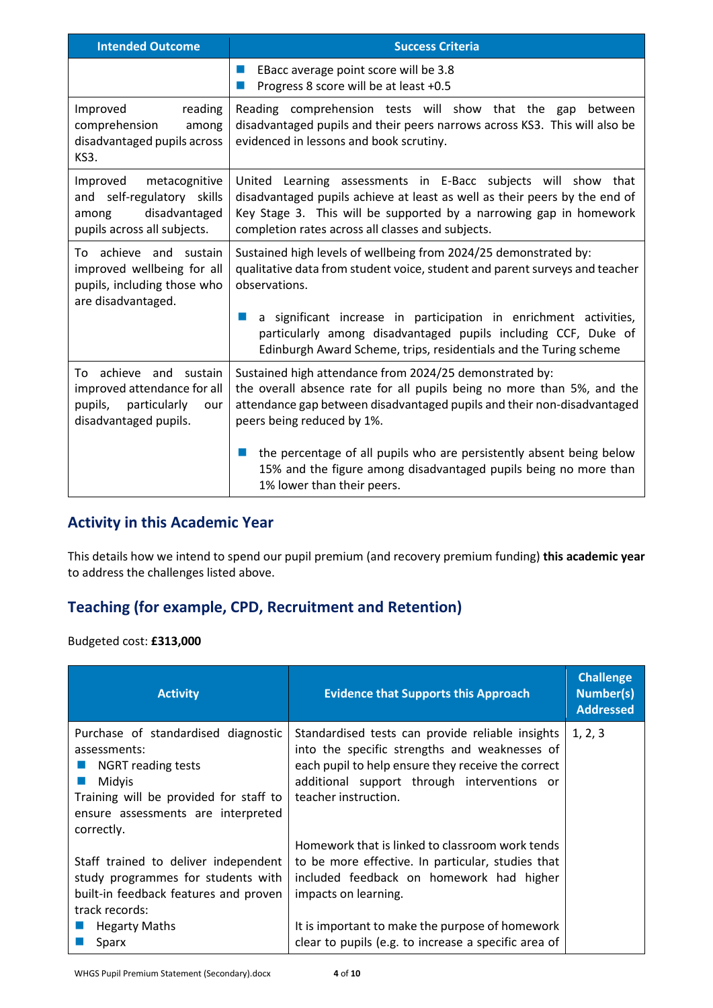| <b>Intended Outcome</b>                                                                                          | <b>Success Criteria</b>                                                                                                                                                                                                                                                |  |
|------------------------------------------------------------------------------------------------------------------|------------------------------------------------------------------------------------------------------------------------------------------------------------------------------------------------------------------------------------------------------------------------|--|
|                                                                                                                  | EBacc average point score will be 3.8<br>ш<br>Progress 8 score will be at least +0.5<br>ш                                                                                                                                                                              |  |
| Improved<br>reading<br>comprehension<br>among<br>disadvantaged pupils across<br>KS3.                             | Reading comprehension tests will show that the gap<br>between<br>disadvantaged pupils and their peers narrows across KS3. This will also be<br>evidenced in lessons and book scrutiny.                                                                                 |  |
| Improved<br>metacognitive<br>and self-regulatory skills<br>disadvantaged<br>among<br>pupils across all subjects. | United Learning assessments in E-Bacc subjects will show that<br>disadvantaged pupils achieve at least as well as their peers by the end of<br>Key Stage 3. This will be supported by a narrowing gap in homework<br>completion rates across all classes and subjects. |  |
| To achieve and sustain<br>improved wellbeing for all<br>pupils, including those who<br>are disadvantaged.        | Sustained high levels of wellbeing from 2024/25 demonstrated by:<br>qualitative data from student voice, student and parent surveys and teacher<br>observations.                                                                                                       |  |
|                                                                                                                  | a significant increase in participation in enrichment activities,<br>m.<br>particularly among disadvantaged pupils including CCF, Duke of<br>Edinburgh Award Scheme, trips, residentials and the Turing scheme                                                         |  |
| To achieve and sustain<br>improved attendance for all<br>pupils,<br>particularly<br>our<br>disadvantaged pupils. | Sustained high attendance from 2024/25 demonstrated by:<br>the overall absence rate for all pupils being no more than 5%, and the<br>attendance gap between disadvantaged pupils and their non-disadvantaged<br>peers being reduced by 1%.                             |  |
|                                                                                                                  | the percentage of all pupils who are persistently absent being below<br>ш<br>15% and the figure among disadvantaged pupils being no more than<br>1% lower than their peers.                                                                                            |  |

## **Activity in this Academic Year**

This details how we intend to spend our pupil premium (and recovery premium funding) **this academic year** to address the challenges listed above.

## **Teaching (for example, CPD, Recruitment and Retention)**

Budgeted cost: **£313,000**

| <b>Activity</b>                                                                                                                                                                          | <b>Evidence that Supports this Approach</b>                                                                                                                                                                                    | <b>Challenge</b><br><b>Number(s)</b><br><b>Addressed</b> |
|------------------------------------------------------------------------------------------------------------------------------------------------------------------------------------------|--------------------------------------------------------------------------------------------------------------------------------------------------------------------------------------------------------------------------------|----------------------------------------------------------|
| Purchase of standardised diagnostic<br>assessments:<br><b>NGRT</b> reading tests<br>Midyis<br>Training will be provided for staff to<br>ensure assessments are interpreted<br>correctly. | Standardised tests can provide reliable insights<br>into the specific strengths and weaknesses of<br>each pupil to help ensure they receive the correct<br>additional support through interventions or<br>teacher instruction. | 1, 2, 3                                                  |
| Staff trained to deliver independent<br>study programmes for students with<br>built-in feedback features and proven<br>track records:<br><b>Hegarty Maths</b>                            | Homework that is linked to classroom work tends<br>to be more effective. In particular, studies that<br>included feedback on homework had higher<br>impacts on learning.<br>It is important to make the purpose of homework    |                                                          |
| Sparx                                                                                                                                                                                    | clear to pupils (e.g. to increase a specific area of                                                                                                                                                                           |                                                          |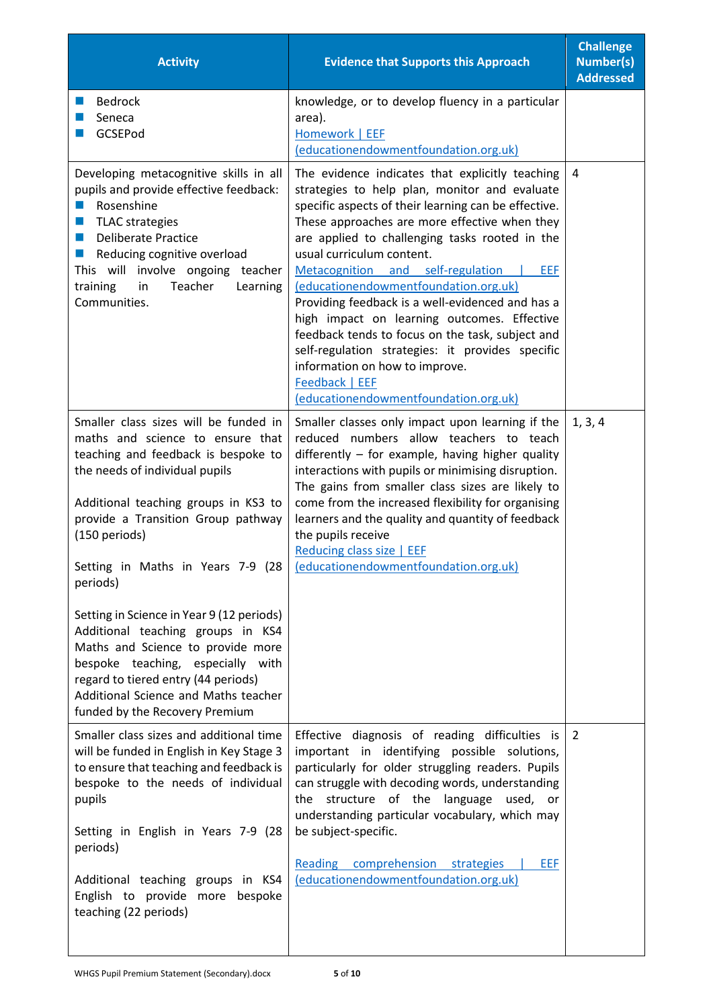| <b>Activity</b>                                                                                                                                                                                                                                                                                                                                                                                                                                                                                                                                                                 | <b>Evidence that Supports this Approach</b>                                                                                                                                                                                                                                                                                                                                                                                                                                                                                                                                                                                                                                           | <b>Challenge</b><br><b>Number(s)</b><br><b>Addressed</b> |
|---------------------------------------------------------------------------------------------------------------------------------------------------------------------------------------------------------------------------------------------------------------------------------------------------------------------------------------------------------------------------------------------------------------------------------------------------------------------------------------------------------------------------------------------------------------------------------|---------------------------------------------------------------------------------------------------------------------------------------------------------------------------------------------------------------------------------------------------------------------------------------------------------------------------------------------------------------------------------------------------------------------------------------------------------------------------------------------------------------------------------------------------------------------------------------------------------------------------------------------------------------------------------------|----------------------------------------------------------|
| <b>Bedrock</b><br>Seneca<br>GCSEPod                                                                                                                                                                                                                                                                                                                                                                                                                                                                                                                                             | knowledge, or to develop fluency in a particular<br>area).<br>Homework   EEF<br>(educationendowmentfoundation.org.uk)                                                                                                                                                                                                                                                                                                                                                                                                                                                                                                                                                                 |                                                          |
| Developing metacognitive skills in all<br>pupils and provide effective feedback:<br>Rosenshine<br><b>TLAC</b> strategies<br><b>Deliberate Practice</b><br>a a s<br>Reducing cognitive overload<br><b>College</b><br>This will involve ongoing teacher<br>Teacher<br>training<br>in<br>Learning<br>Communities.                                                                                                                                                                                                                                                                  | The evidence indicates that explicitly teaching<br>strategies to help plan, monitor and evaluate<br>specific aspects of their learning can be effective.<br>These approaches are more effective when they<br>are applied to challenging tasks rooted in the<br>usual curriculum content.<br>Metacognition and self-regulation<br>EEF<br>(educationendowmentfoundation.org.uk)<br>Providing feedback is a well-evidenced and has a<br>high impact on learning outcomes. Effective<br>feedback tends to focus on the task, subject and<br>self-regulation strategies: it provides specific<br>information on how to improve.<br>Feedback   EEF<br>(educationendowmentfoundation.org.uk) | 4                                                        |
| Smaller class sizes will be funded in<br>maths and science to ensure that<br>teaching and feedback is bespoke to<br>the needs of individual pupils<br>Additional teaching groups in KS3 to<br>provide a Transition Group pathway<br>(150 periods)<br>Setting in Maths in Years 7-9 (28<br>periods)<br>Setting in Science in Year 9 (12 periods)<br>Additional teaching groups in KS4<br>Maths and Science to provide more<br>bespoke teaching, especially with<br>regard to tiered entry (44 periods)<br>Additional Science and Maths teacher<br>funded by the Recovery Premium | Smaller classes only impact upon learning if the<br>reduced numbers allow teachers to teach<br>differently - for example, having higher quality<br>interactions with pupils or minimising disruption.<br>The gains from smaller class sizes are likely to<br>come from the increased flexibility for organising<br>learners and the quality and quantity of feedback<br>the pupils receive<br>Reducing class size   EEF<br>(educationendowmentfoundation.org.uk)                                                                                                                                                                                                                      | 1, 3, 4                                                  |
| Smaller class sizes and additional time<br>will be funded in English in Key Stage 3<br>to ensure that teaching and feedback is<br>bespoke to the needs of individual<br>pupils<br>Setting in English in Years 7-9 (28<br>periods)<br>Additional teaching groups in KS4<br>English to provide more bespoke<br>teaching (22 periods)                                                                                                                                                                                                                                              | Effective diagnosis of reading difficulties is<br>important in identifying possible solutions,<br>particularly for older struggling readers. Pupils<br>can struggle with decoding words, understanding<br>structure of the<br>language used, or<br>the<br>understanding particular vocabulary, which may<br>be subject-specific.<br>Reading comprehension<br><b>EEF</b><br>strategies<br>(educationendowmentfoundation.org.uk)                                                                                                                                                                                                                                                        | $\overline{2}$                                           |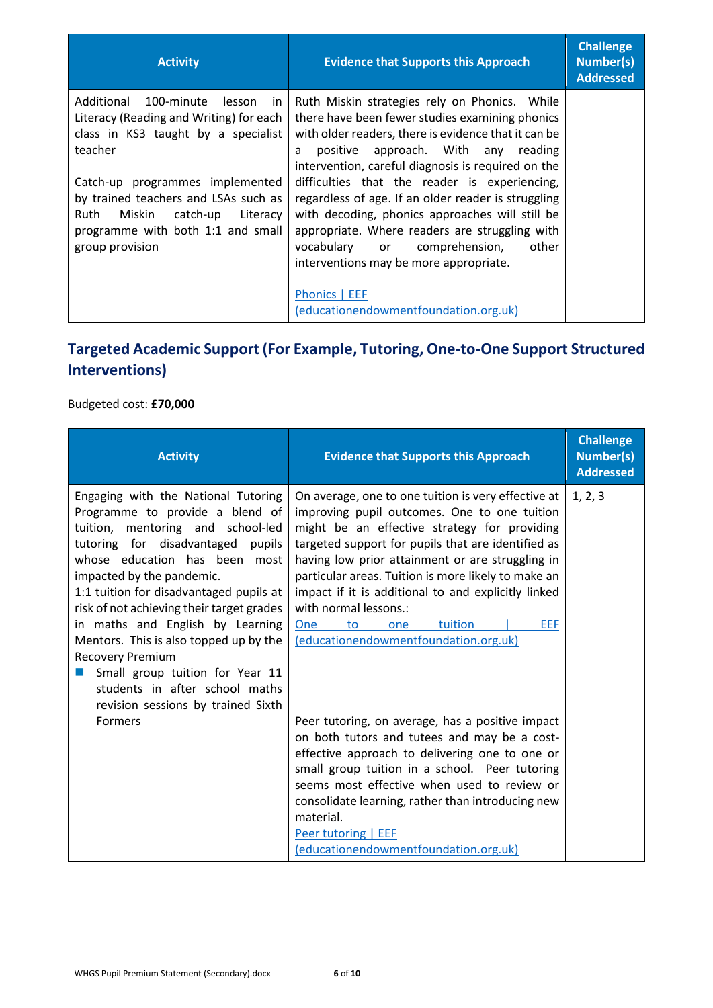| <b>Activity</b>                                                                                                                                                     | <b>Evidence that Supports this Approach</b>                                                                                                                                                                                                                                                  | <b>Challenge</b><br><b>Number(s)</b><br><b>Addressed</b> |
|---------------------------------------------------------------------------------------------------------------------------------------------------------------------|----------------------------------------------------------------------------------------------------------------------------------------------------------------------------------------------------------------------------------------------------------------------------------------------|----------------------------------------------------------|
| Additional<br>100-minute<br>lesson<br>in.<br>Literacy (Reading and Writing) for each<br>class in KS3 taught by a specialist<br>teacher                              | Ruth Miskin strategies rely on Phonics. While<br>there have been fewer studies examining phonics<br>with older readers, there is evidence that it can be<br>positive approach. With any reading<br>a<br>intervention, careful diagnosis is required on the                                   |                                                          |
| Catch-up programmes implemented<br>by trained teachers and LSAs such as<br>Ruth Miskin catch-up<br>Literacy<br>programme with both 1:1 and small<br>group provision | difficulties that the reader is experiencing,<br>regardless of age. If an older reader is struggling<br>with decoding, phonics approaches will still be<br>appropriate. Where readers are struggling with<br>vocabulary or comprehension,<br>other<br>interventions may be more appropriate. |                                                          |
|                                                                                                                                                                     | Phonics   EEF<br>(educationendowmentfoundation.org.uk)                                                                                                                                                                                                                                       |                                                          |

## **Targeted Academic Support (For Example, Tutoring, One-to-One Support Structured Interventions)**

## Budgeted cost: **£70,000**

| <b>Activity</b>                                                                                                                                                                                                                                                                                                                                                                                                                                                                                                     | <b>Evidence that Supports this Approach</b>                                                                                                                                                                                                                                                                                                                                                                                                                                                | <b>Challenge</b><br><b>Number(s)</b><br><b>Addressed</b> |
|---------------------------------------------------------------------------------------------------------------------------------------------------------------------------------------------------------------------------------------------------------------------------------------------------------------------------------------------------------------------------------------------------------------------------------------------------------------------------------------------------------------------|--------------------------------------------------------------------------------------------------------------------------------------------------------------------------------------------------------------------------------------------------------------------------------------------------------------------------------------------------------------------------------------------------------------------------------------------------------------------------------------------|----------------------------------------------------------|
| Engaging with the National Tutoring<br>Programme to provide a blend of<br>tuition, mentoring and school-led<br>tutoring for disadvantaged pupils<br>whose education has been most<br>impacted by the pandemic.<br>1:1 tuition for disadvantaged pupils at<br>risk of not achieving their target grades<br>in maths and English by Learning<br>Mentors. This is also topped up by the<br>Recovery Premium<br>Small group tuition for Year 11<br>students in after school maths<br>revision sessions by trained Sixth | On average, one to one tuition is very effective at<br>improving pupil outcomes. One to one tuition<br>might be an effective strategy for providing<br>targeted support for pupils that are identified as<br>having low prior attainment or are struggling in<br>particular areas. Tuition is more likely to make an<br>impact if it is additional to and explicitly linked<br>with normal lessons.:<br>EEF<br>tuition<br><b>One</b><br>to<br>one<br>(educationendowmentfoundation.org.uk) | 1, 2, 3                                                  |
| <b>Formers</b>                                                                                                                                                                                                                                                                                                                                                                                                                                                                                                      | Peer tutoring, on average, has a positive impact<br>on both tutors and tutees and may be a cost-<br>effective approach to delivering one to one or<br>small group tuition in a school. Peer tutoring<br>seems most effective when used to review or<br>consolidate learning, rather than introducing new<br>material.<br>Peer tutoring   EEF<br>(educationendowmentfoundation.org.uk)                                                                                                      |                                                          |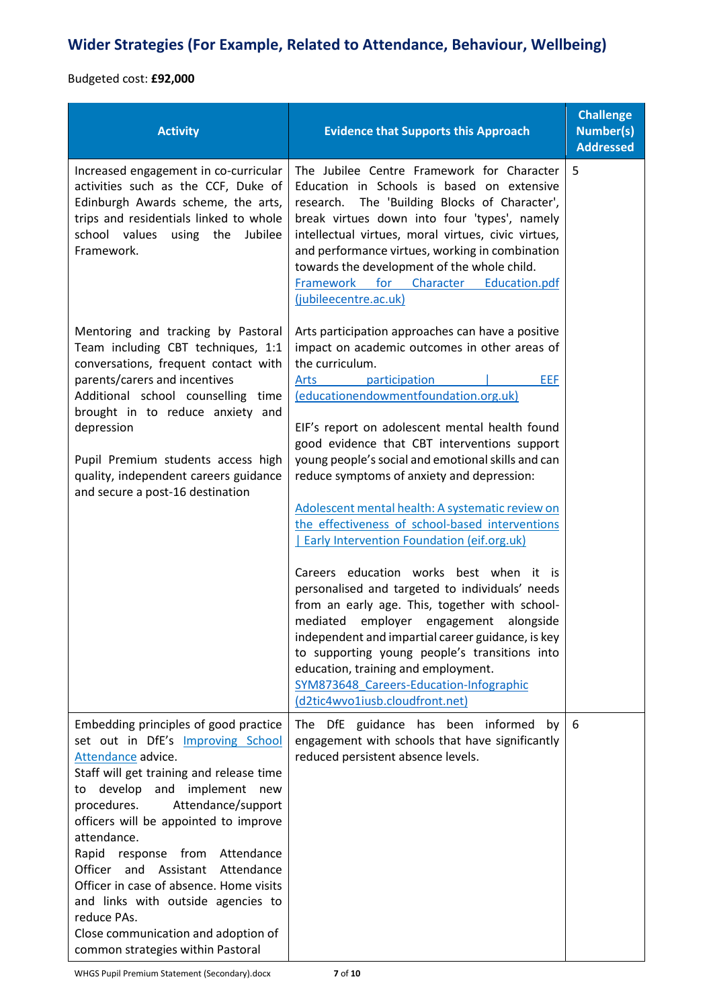## **Wider Strategies (For Example, Related to Attendance, Behaviour, Wellbeing)**

Budgeted cost: **£92,000**

| <b>Activity</b>                                                                                                                                                                                                                                                                                                                                                                                                                                                                                                             | <b>Evidence that Supports this Approach</b>                                                                                                                                                                                                                                                                                                                                                                                                                                                                                                                                                                                                                                                                                                                                                                                                                                                                                                                                              | <b>Challenge</b><br><b>Number(s)</b><br><b>Addressed</b> |
|-----------------------------------------------------------------------------------------------------------------------------------------------------------------------------------------------------------------------------------------------------------------------------------------------------------------------------------------------------------------------------------------------------------------------------------------------------------------------------------------------------------------------------|------------------------------------------------------------------------------------------------------------------------------------------------------------------------------------------------------------------------------------------------------------------------------------------------------------------------------------------------------------------------------------------------------------------------------------------------------------------------------------------------------------------------------------------------------------------------------------------------------------------------------------------------------------------------------------------------------------------------------------------------------------------------------------------------------------------------------------------------------------------------------------------------------------------------------------------------------------------------------------------|----------------------------------------------------------|
| Increased engagement in co-curricular<br>activities such as the CCF, Duke of<br>Edinburgh Awards scheme, the arts,<br>trips and residentials linked to whole<br>school values<br>using the<br>Jubilee<br>Framework.                                                                                                                                                                                                                                                                                                         | The Jubilee Centre Framework for Character<br>Education in Schools is based on extensive<br>research. The 'Building Blocks of Character',<br>break virtues down into four 'types', namely<br>intellectual virtues, moral virtues, civic virtues,<br>and performance virtues, working in combination<br>towards the development of the whole child.<br>Framework for Character Education.pdf<br>(jubileecentre.ac.uk)                                                                                                                                                                                                                                                                                                                                                                                                                                                                                                                                                                     | 5                                                        |
| Mentoring and tracking by Pastoral<br>Team including CBT techniques, 1:1<br>conversations, frequent contact with<br>parents/carers and incentives<br>Additional school counselling time<br>brought in to reduce anxiety and<br>depression<br>Pupil Premium students access high<br>quality, independent careers guidance<br>and secure a post-16 destination                                                                                                                                                                | Arts participation approaches can have a positive<br>impact on academic outcomes in other areas of<br>the curriculum.<br>participation<br><b>EEF</b><br>Arts<br>(educationendowmentfoundation.org.uk)<br>EIF's report on adolescent mental health found<br>good evidence that CBT interventions support<br>young people's social and emotional skills and can<br>reduce symptoms of anxiety and depression:<br>Adolescent mental health: A systematic review on<br>the effectiveness of school-based interventions<br>Early Intervention Foundation (eif.org.uk)<br>Careers education works best when it is<br>personalised and targeted to individuals' needs<br>from an early age. This, together with school-<br>mediated employer engagement<br>alongside<br>independent and impartial career guidance, is key<br>to supporting young people's transitions into<br>education, training and employment.<br>SYM873648 Careers-Education-Infographic<br>(d2tic4wvo1iusb.cloudfront.net) |                                                          |
| Embedding principles of good practice<br>set out in DfE's Improving School<br>Attendance advice.<br>Staff will get training and release time<br>develop and implement new<br>to<br>procedures. Attendance/support<br>officers will be appointed to improve<br>attendance.<br>Rapid response from Attendance<br>Officer and Assistant Attendance<br>Officer in case of absence. Home visits<br>and links with outside agencies to<br>reduce PAs.<br>Close communication and adoption of<br>common strategies within Pastoral | The DfE guidance has been informed by<br>engagement with schools that have significantly<br>reduced persistent absence levels.                                                                                                                                                                                                                                                                                                                                                                                                                                                                                                                                                                                                                                                                                                                                                                                                                                                           | 6                                                        |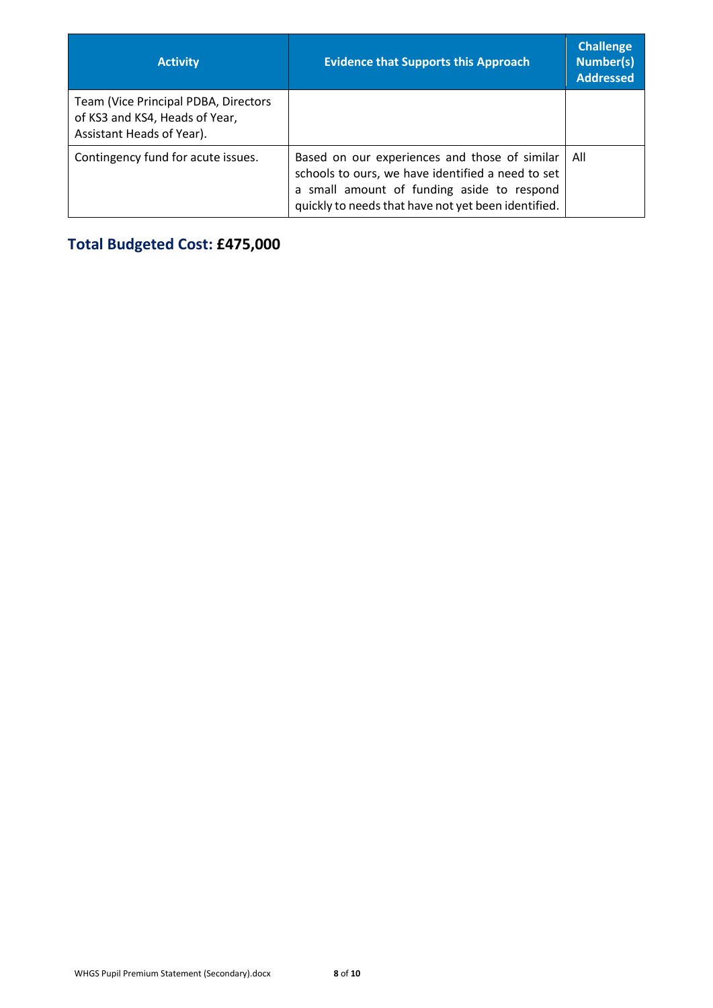| <b>Activity</b>                                                                                     | <b>Evidence that Supports this Approach</b>                                                                                                                                                             | <b>Challenge</b><br><b>Number(s)</b><br><b>Addressed</b> |
|-----------------------------------------------------------------------------------------------------|---------------------------------------------------------------------------------------------------------------------------------------------------------------------------------------------------------|----------------------------------------------------------|
| Team (Vice Principal PDBA, Directors<br>of KS3 and KS4, Heads of Year,<br>Assistant Heads of Year). |                                                                                                                                                                                                         |                                                          |
| Contingency fund for acute issues.                                                                  | Based on our experiences and those of similar<br>schools to ours, we have identified a need to set<br>a small amount of funding aside to respond<br>quickly to needs that have not yet been identified. | All                                                      |

**Total Budgeted Cost: £475,000**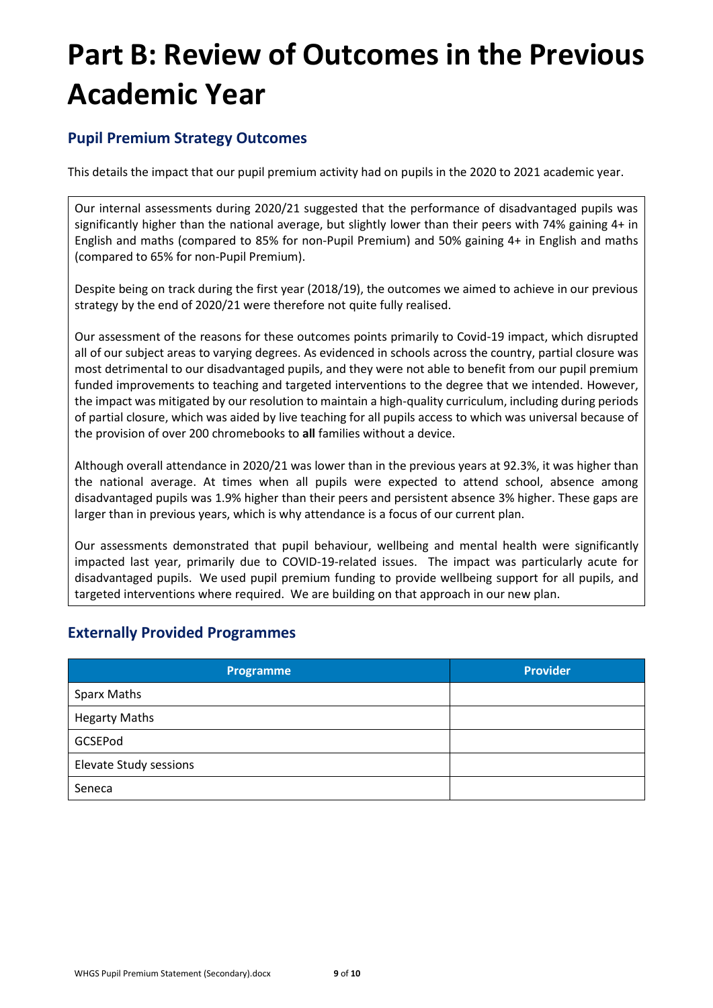# **Part B: Review of Outcomes in the Previous Academic Year**

## **Pupil Premium Strategy Outcomes**

This details the impact that our pupil premium activity had on pupils in the 2020 to 2021 academic year.

Our internal assessments during 2020/21 suggested that the performance of disadvantaged pupils was significantly higher than the national average, but slightly lower than their peers with 74% gaining 4+ in English and maths (compared to 85% for non-Pupil Premium) and 50% gaining 4+ in English and maths (compared to 65% for non-Pupil Premium).

Despite being on track during the first year (2018/19), the outcomes we aimed to achieve in our previous strategy by the end of 2020/21 were therefore not quite fully realised.

Our assessment of the reasons for these outcomes points primarily to Covid-19 impact, which disrupted all of our subject areas to varying degrees. As evidenced in schools across the country, partial closure was most detrimental to our disadvantaged pupils, and they were not able to benefit from our pupil premium funded improvements to teaching and targeted interventions to the degree that we intended. However, the impact was mitigated by our resolution to maintain a high-quality curriculum, including during periods of partial closure, which was aided by live teaching for all pupils access to which was universal because of the provision of over 200 chromebooks to **all** families without a device.

Although overall attendance in 2020/21 was lower than in the previous years at 92.3%, it was higher than the national average. At times when all pupils were expected to attend school, absence among disadvantaged pupils was 1.9% higher than their peers and persistent absence 3% higher. These gaps are larger than in previous years, which is why attendance is a focus of our current plan.

Our assessments demonstrated that pupil behaviour, wellbeing and mental health were significantly impacted last year, primarily due to COVID-19-related issues. The impact was particularly acute for disadvantaged pupils. We used pupil premium funding to provide wellbeing support for all pupils, and targeted interventions where required. We are building on that approach in our new plan.

## **Externally Provided Programmes**

| Programme              | <b>Provider</b> |
|------------------------|-----------------|
| Sparx Maths            |                 |
| <b>Hegarty Maths</b>   |                 |
| GCSEPod                |                 |
| Elevate Study sessions |                 |
| Seneca                 |                 |